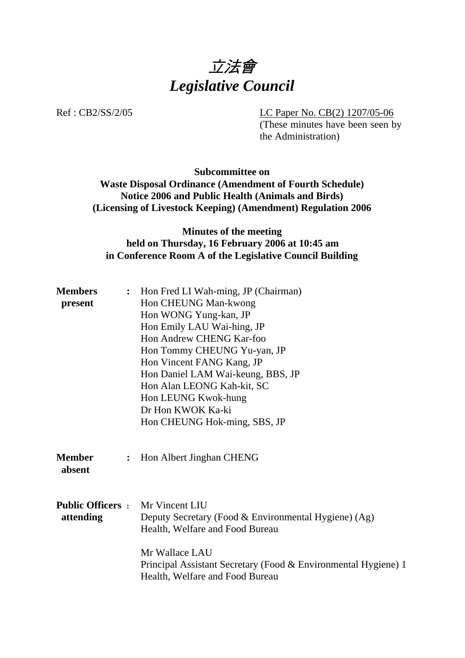

Ref : CB2/SS/2/05 LC Paper No. CB(2) 1207/05-06

(These minutes have been seen by the Administration)

**Subcommittee on Waste Disposal Ordinance (Amendment of Fourth Schedule) Notice 2006 and Public Health (Animals and Birds) (Licensing of Livestock Keeping) (Amendment) Regulation 2006** 

## **Minutes of the meeting held on Thursday, 16 February 2006 at 10:45 am in Conference Room A of the Legislative Council Building**

| <b>Members</b><br>present                            | : Hon Fred LI Wah-ming, JP (Chairman)<br>Hon CHEUNG Man-kwong<br>Hon WONG Yung-kan, JP<br>Hon Emily LAU Wai-hing, JP<br>Hon Andrew CHENG Kar-foo<br>Hon Tommy CHEUNG Yu-yan, JP<br>Hon Vincent FANG Kang, JP<br>Hon Daniel LAM Wai-keung, BBS, JP |
|------------------------------------------------------|---------------------------------------------------------------------------------------------------------------------------------------------------------------------------------------------------------------------------------------------------|
|                                                      | Hon Alan LEONG Kah-kit, SC<br>Hon LEUNG Kwok-hung<br>Dr Hon KWOK Ka-ki<br>Hon CHEUNG Hok-ming, SBS, JP                                                                                                                                            |
| <b>Member</b><br>$\ddot{\cdot}$<br>absent            | Hon Albert Jinghan CHENG                                                                                                                                                                                                                          |
| <b>Public Officers :</b> Mr Vincent LIU<br>attending | Deputy Secretary (Food & Environmental Hygiene) (Ag)<br>Health, Welfare and Food Bureau                                                                                                                                                           |
|                                                      | Mr Wallace LAU<br>Principal Assistant Secretary (Food & Environmental Hygiene) 1<br>Health, Welfare and Food Bureau                                                                                                                               |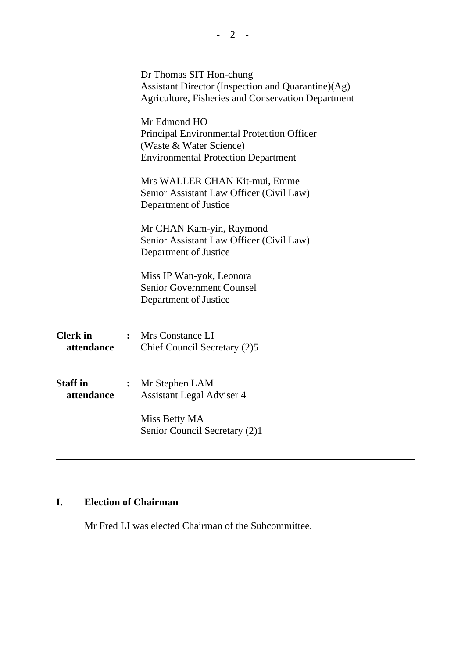|                               |                | Dr Thomas SIT Hon-chung<br>Assistant Director (Inspection and Quarantine)(Ag)<br>Agriculture, Fisheries and Conservation Department |
|-------------------------------|----------------|-------------------------------------------------------------------------------------------------------------------------------------|
|                               |                | Mr Edmond HO<br>Principal Environmental Protection Officer<br>(Waste & Water Science)<br><b>Environmental Protection Department</b> |
|                               |                | Mrs WALLER CHAN Kit-mui, Emme<br>Senior Assistant Law Officer (Civil Law)<br>Department of Justice                                  |
|                               |                | Mr CHAN Kam-yin, Raymond<br>Senior Assistant Law Officer (Civil Law)<br>Department of Justice                                       |
|                               |                | Miss IP Wan-yok, Leonora<br><b>Senior Government Counsel</b><br>Department of Justice                                               |
| <b>Clerk</b> in<br>attendance | $\ddot{\cdot}$ | Mrs Constance LI<br>Chief Council Secretary (2)5                                                                                    |
| <b>Staff</b> in<br>attendance | $\ddot{\cdot}$ | Mr Stephen LAM<br><b>Assistant Legal Adviser 4</b>                                                                                  |
|                               |                | Miss Betty MA<br>Senior Council Secretary (2)1                                                                                      |
|                               |                |                                                                                                                                     |

# **I. Election of Chairman**

1. Mr Fred LI was elected Chairman of the Subcommittee.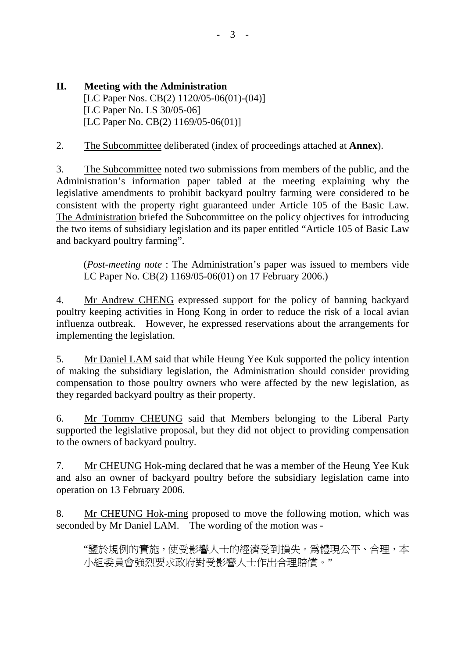**II. Meeting with the Administration**  [LC Paper Nos. CB(2) 1120/05-06(01)-(04)] [LC Paper No. LS 30/05-06] [LC Paper No. CB(2) 1169/05-06(01)]

2. The Subcommittee deliberated (index of proceedings attached at **Annex**).

3. The Subcommittee noted two submissions from members of the public, and the Administration's information paper tabled at the meeting explaining why the legislative amendments to prohibit backyard poultry farming were considered to be consistent with the property right guaranteed under Article 105 of the Basic Law. The Administration briefed the Subcommittee on the policy objectives for introducing the two items of subsidiary legislation and its paper entitled "Article 105 of Basic Law and backyard poultry farming".

(*Post-meeting note* : The Administration's paper was issued to members vide LC Paper No. CB(2) 1169/05-06(01) on 17 February 2006.)

4. Mr Andrew CHENG expressed support for the policy of banning backyard poultry keeping activities in Hong Kong in order to reduce the risk of a local avian influenza outbreak. However, he expressed reservations about the arrangements for implementing the legislation.

5. Mr Daniel LAM said that while Heung Yee Kuk supported the policy intention of making the subsidiary legislation, the Administration should consider providing compensation to those poultry owners who were affected by the new legislation, as they regarded backyard poultry as their property.

6. Mr Tommy CHEUNG said that Members belonging to the Liberal Party supported the legislative proposal, but they did not object to providing compensation to the owners of backyard poultry.

7. Mr CHEUNG Hok-ming declared that he was a member of the Heung Yee Kuk and also an owner of backyard poultry before the subsidiary legislation came into operation on 13 February 2006.

8. Mr CHEUNG Hok-ming proposed to move the following motion, which was seconded by Mr Daniel LAM. The wording of the motion was -

"鑒於規例的實施,使受影響人士的經濟受到損失。為體現公平、合理,本 小組委員會強烈要求政府對受影響人士作出合理賠償。"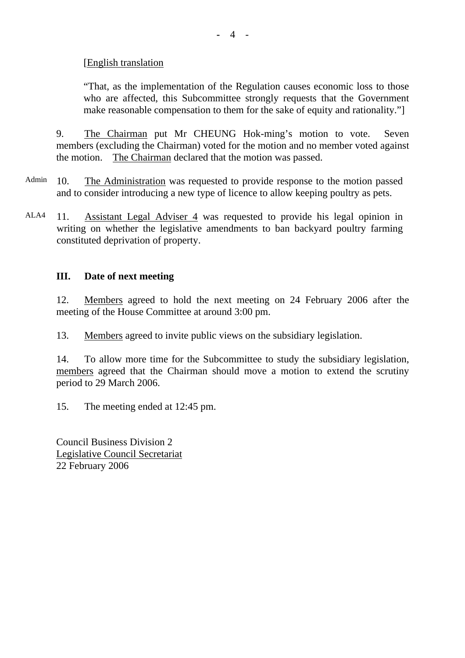### [English translation

"That, as the implementation of the Regulation causes economic loss to those who are affected, this Subcommittee strongly requests that the Government make reasonable compensation to them for the sake of equity and rationality."]

9. The Chairman put Mr CHEUNG Hok-ming's motion to vote. Seven members (excluding the Chairman) voted for the motion and no member voted against the motion. The Chairman declared that the motion was passed.

- Admin 10. The Administration was requested to provide response to the motion passed and to consider introducing a new type of licence to allow keeping poultry as pets.
- ALA4 11. Assistant Legal Adviser 4 was requested to provide his legal opinion in writing on whether the legislative amendments to ban backyard poultry farming constituted deprivation of property.

#### **III. Date of next meeting**

12. Members agreed to hold the next meeting on 24 February 2006 after the meeting of the House Committee at around 3:00 pm.

13. Members agreed to invite public views on the subsidiary legislation.

14. To allow more time for the Subcommittee to study the subsidiary legislation, members agreed that the Chairman should move a motion to extend the scrutiny period to 29 March 2006.

15. The meeting ended at 12:45 pm.

Council Business Division 2 Legislative Council Secretariat 22 February 2006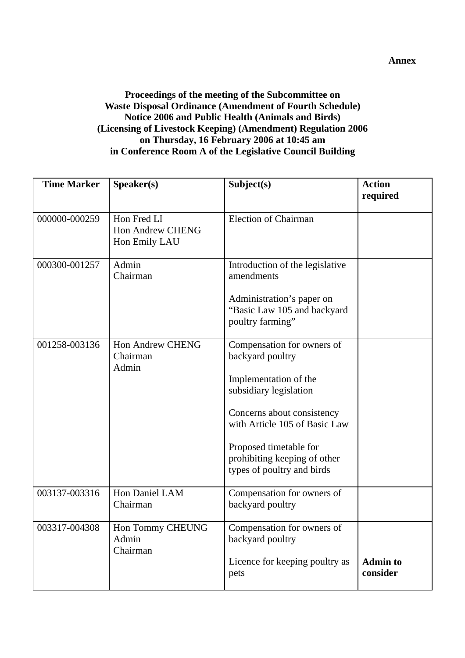### **Proceedings of the meeting of the Subcommittee on Waste Disposal Ordinance (Amendment of Fourth Schedule) Notice 2006 and Public Health (Animals and Birds) (Licensing of Livestock Keeping) (Amendment) Regulation 2006 on Thursday, 16 February 2006 at 10:45 am in Conference Room A of the Legislative Council Building**

| <b>Time Marker</b> | Speaker(s)                                              | Subject(s)                                                                                                                                                                                                                 | <b>Action</b>               |
|--------------------|---------------------------------------------------------|----------------------------------------------------------------------------------------------------------------------------------------------------------------------------------------------------------------------------|-----------------------------|
|                    |                                                         |                                                                                                                                                                                                                            | required                    |
| 000000-000259      | Hon Fred LI<br><b>Hon Andrew CHENG</b><br>Hon Emily LAU | <b>Election of Chairman</b>                                                                                                                                                                                                |                             |
| 000300-001257      | Admin<br>Chairman                                       | Introduction of the legislative<br>amendments                                                                                                                                                                              |                             |
|                    |                                                         | Administration's paper on<br>"Basic Law 105 and backyard<br>poultry farming"                                                                                                                                               |                             |
| 001258-003136      | <b>Hon Andrew CHENG</b><br>Chairman<br>Admin            | Compensation for owners of<br>backyard poultry<br>Implementation of the<br>subsidiary legislation<br>Concerns about consistency<br>with Article 105 of Basic Law<br>Proposed timetable for<br>prohibiting keeping of other |                             |
|                    |                                                         | types of poultry and birds                                                                                                                                                                                                 |                             |
| 003137-003316      | Hon Daniel LAM<br>Chairman                              | Compensation for owners of<br>backyard poultry                                                                                                                                                                             |                             |
| 003317-004308      | Hon Tommy CHEUNG<br>Admin<br>Chairman                   | Compensation for owners of<br>backyard poultry                                                                                                                                                                             |                             |
|                    |                                                         | Licence for keeping poultry as<br>pets                                                                                                                                                                                     | <b>Admin to</b><br>consider |

**Annex**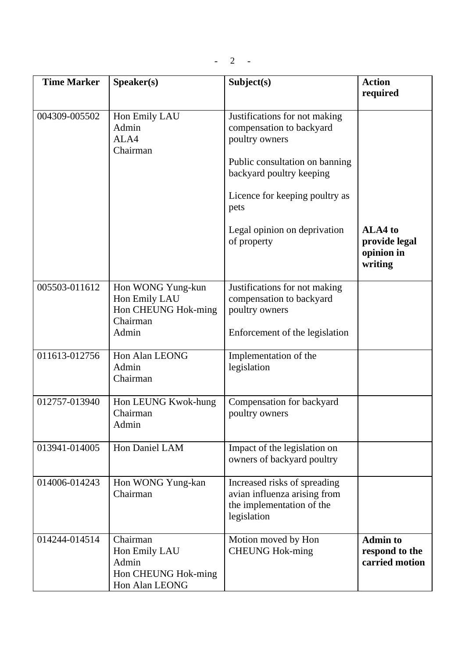$- 2 -$ 

| <b>Time Marker</b> | Speaker(s)                                                                     | Subject(s)                                                                                                                                                                                                                         | <b>Action</b><br>required                           |
|--------------------|--------------------------------------------------------------------------------|------------------------------------------------------------------------------------------------------------------------------------------------------------------------------------------------------------------------------------|-----------------------------------------------------|
|                    |                                                                                |                                                                                                                                                                                                                                    |                                                     |
| 004309-005502      | Hon Emily LAU<br>Admin<br>ALA4<br>Chairman                                     | Justifications for not making<br>compensation to backyard<br>poultry owners<br>Public consultation on banning<br>backyard poultry keeping<br>Licence for keeping poultry as<br>pets<br>Legal opinion on deprivation<br>of property | ALA4 to<br>provide legal<br>opinion in<br>writing   |
| 005503-011612      | Hon WONG Yung-kun<br>Hon Emily LAU<br>Hon CHEUNG Hok-ming<br>Chairman<br>Admin | Justifications for not making<br>compensation to backyard<br>poultry owners<br>Enforcement of the legislation                                                                                                                      |                                                     |
| 011613-012756      | Hon Alan LEONG<br>Admin<br>Chairman                                            | Implementation of the<br>legislation                                                                                                                                                                                               |                                                     |
| 012757-013940      | Hon LEUNG Kwok-hung<br>Chairman<br>Admin                                       | Compensation for backyard<br>poultry owners                                                                                                                                                                                        |                                                     |
| 013941-014005      | Hon Daniel LAM                                                                 | Impact of the legislation on<br>owners of backyard poultry                                                                                                                                                                         |                                                     |
| 014006-014243      | Hon WONG Yung-kan<br>Chairman                                                  | Increased risks of spreading<br>avian influenza arising from<br>the implementation of the<br>legislation                                                                                                                           |                                                     |
| 014244-014514      | Chairman<br>Hon Emily LAU<br>Admin<br>Hon CHEUNG Hok-ming<br>Hon Alan LEONG    | Motion moved by Hon<br><b>CHEUNG Hok-ming</b>                                                                                                                                                                                      | <b>Admin to</b><br>respond to the<br>carried motion |